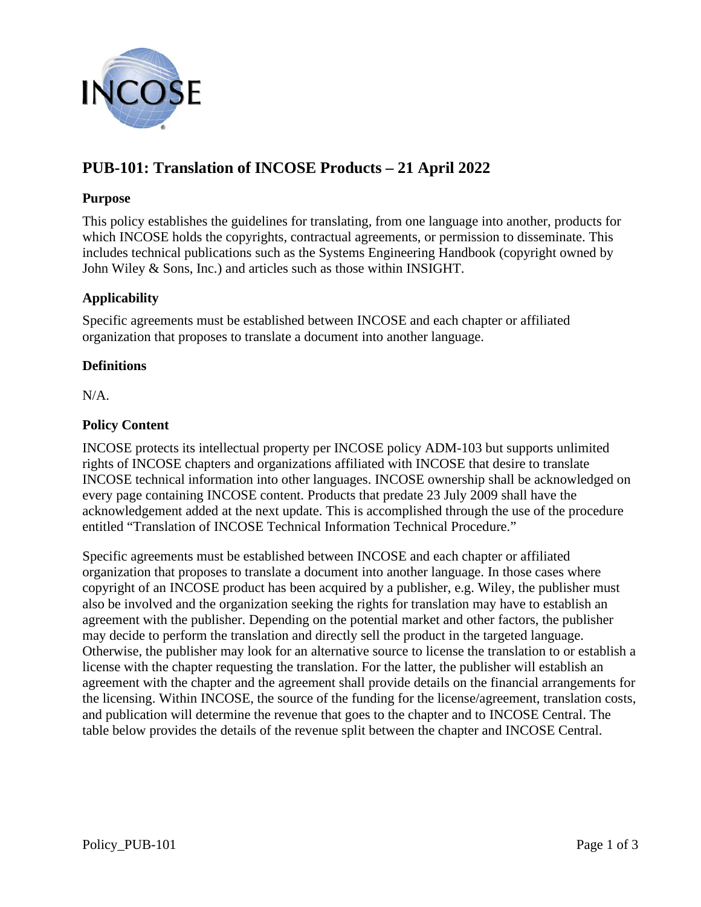

# **PUB-101: Translation of INCOSE Products – 21 April 2022**

#### **Purpose**

This policy establishes the guidelines for translating, from one language into another, products for which INCOSE holds the copyrights, contractual agreements, or permission to disseminate. This includes technical publications such as the Systems Engineering Handbook (copyright owned by John Wiley & Sons, Inc.) and articles such as those within INSIGHT.

### **Applicability**

Specific agreements must be established between INCOSE and each chapter or affiliated organization that proposes to translate a document into another language.

#### **Definitions**

N/A.

#### **Policy Content**

INCOSE protects its intellectual property per INCOSE policy ADM-103 but supports unlimited rights of INCOSE chapters and organizations affiliated with INCOSE that desire to translate INCOSE technical information into other languages. INCOSE ownership shall be acknowledged on every page containing INCOSE content. Products that predate 23 July 2009 shall have the acknowledgement added at the next update. This is accomplished through the use of the procedure entitled "Translation of INCOSE Technical Information Technical Procedure."

Specific agreements must be established between INCOSE and each chapter or affiliated organization that proposes to translate a document into another language. In those cases where copyright of an INCOSE product has been acquired by a publisher, e.g. Wiley, the publisher must also be involved and the organization seeking the rights for translation may have to establish an agreement with the publisher. Depending on the potential market and other factors, the publisher may decide to perform the translation and directly sell the product in the targeted language. Otherwise, the publisher may look for an alternative source to license the translation to or establish a license with the chapter requesting the translation. For the latter, the publisher will establish an agreement with the chapter and the agreement shall provide details on the financial arrangements for the licensing. Within INCOSE, the source of the funding for the license/agreement, translation costs, and publication will determine the revenue that goes to the chapter and to INCOSE Central. The table below provides the details of the revenue split between the chapter and INCOSE Central.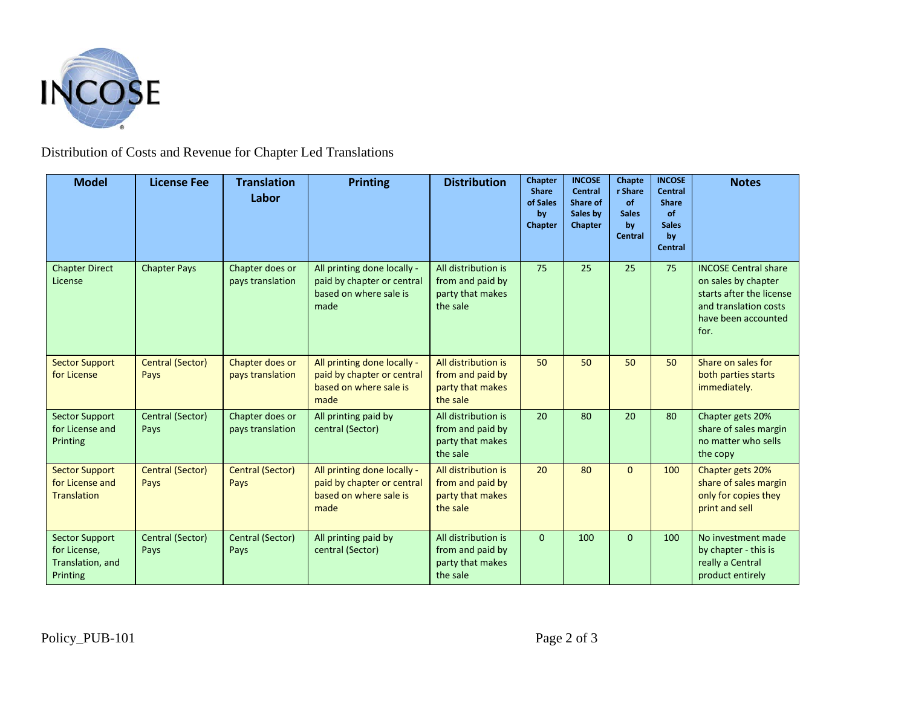

# Distribution of Costs and Revenue for Chapter Led Translations

| <b>Model</b>                                                          | <b>License Fee</b>       | <b>Translation</b><br>Labor         | <b>Printing</b>                                                                             | <b>Distribution</b>                                                     | <b>Chapter</b><br><b>Share</b><br>of Sales<br>by<br>Chapter | <b>INCOSE</b><br>Central<br>Share of<br>Sales by<br>Chapter | Chapte<br>r Share<br><b>of</b><br><b>Sales</b><br>by<br><b>Central</b> | <b>INCOSE</b><br><b>Central</b><br><b>Share</b><br>of<br><b>Sales</b><br>by<br><b>Central</b> | <b>Notes</b>                                                                                                                           |
|-----------------------------------------------------------------------|--------------------------|-------------------------------------|---------------------------------------------------------------------------------------------|-------------------------------------------------------------------------|-------------------------------------------------------------|-------------------------------------------------------------|------------------------------------------------------------------------|-----------------------------------------------------------------------------------------------|----------------------------------------------------------------------------------------------------------------------------------------|
| <b>Chapter Direct</b><br>License                                      | <b>Chapter Pays</b>      | Chapter does or<br>pays translation | All printing done locally -<br>paid by chapter or central<br>based on where sale is<br>made | All distribution is<br>from and paid by<br>party that makes<br>the sale | 75                                                          | 25                                                          | 25                                                                     | 75                                                                                            | <b>INCOSE Central share</b><br>on sales by chapter<br>starts after the license<br>and translation costs<br>have been accounted<br>for. |
| <b>Sector Support</b><br>for License                                  | Central (Sector)<br>Pays | Chapter does or<br>pays translation | All printing done locally -<br>paid by chapter or central<br>based on where sale is<br>made | All distribution is<br>from and paid by<br>party that makes<br>the sale | 50                                                          | 50                                                          | 50                                                                     | 50                                                                                            | Share on sales for<br>both parties starts<br>immediately.                                                                              |
| <b>Sector Support</b><br>for License and<br>Printing                  | Central (Sector)<br>Pays | Chapter does or<br>pays translation | All printing paid by<br>central (Sector)                                                    | All distribution is<br>from and paid by<br>party that makes<br>the sale | 20                                                          | 80                                                          | 20                                                                     | 80                                                                                            | Chapter gets 20%<br>share of sales margin<br>no matter who sells<br>the copy                                                           |
| <b>Sector Support</b><br>for License and<br><b>Translation</b>        | Central (Sector)<br>Pays | <b>Central (Sector)</b><br>Pays     | All printing done locally -<br>paid by chapter or central<br>based on where sale is<br>made | All distribution is<br>from and paid by<br>party that makes<br>the sale | 20                                                          | 80                                                          | $\Omega$                                                               | 100                                                                                           | Chapter gets 20%<br>share of sales margin<br>only for copies they<br>print and sell                                                    |
| <b>Sector Support</b><br>for License,<br>Translation, and<br>Printing | Central (Sector)<br>Pays | Central (Sector)<br>Pays            | All printing paid by<br>central (Sector)                                                    | All distribution is<br>from and paid by<br>party that makes<br>the sale | $\Omega$                                                    | 100                                                         | $\Omega$                                                               | 100                                                                                           | No investment made<br>by chapter - this is<br>really a Central<br>product entirely                                                     |